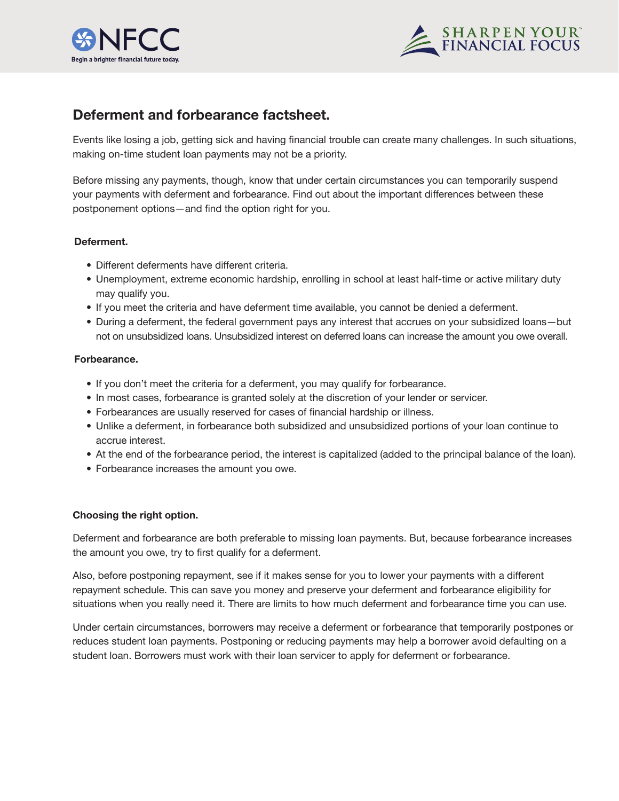



# **Deferment and forbearance factsheet.**

Events like losing a job, getting sick and having financial trouble can create many challenges. In such situations, making on-time student loan payments may not be a priority.

Before missing any payments, though, know that under certain circumstances you can temporarily suspend your payments with deferment and forbearance. Find out about the important differences between these postponement options—and find the option right for you.

## **Deferment.**

- Different deferments have different criteria.
- Unemployment, extreme economic hardship, enrolling in school at least half-time or active military duty may qualify you.
- If you meet the criteria and have deferment time available, you cannot be denied a deferment.
- During a deferment, the federal government pays any interest that accrues on your subsidized loans—but not on unsubsidized loans. Unsubsidized interest on deferred loans can increase the amount you owe overall.

## **Forbearance.**

- If you don't meet the criteria for a deferment, you may qualify for forbearance.
- In most cases, forbearance is granted solely at the discretion of your lender or servicer.
- Forbearances are usually reserved for cases of financial hardship or illness.
- Unlike a deferment, in forbearance both subsidized and unsubsidized portions of your loan continue to accrue interest.
- At the end of the forbearance period, the interest is capitalized (added to the principal balance of the loan).
- Forbearance increases the amount you owe.

## **Choosing the right option.**

Deferment and forbearance are both preferable to missing loan payments. But, because forbearance increases the amount you owe, try to first qualify for a deferment.

Also, before postponing repayment, see if it makes sense for you to lower your payments with a different repayment schedule. This can save you money and preserve your deferment and forbearance eligibility for situations when you really need it. There are limits to how much deferment and forbearance time you can use.

Under certain circumstances, borrowers may receive a deferment or forbearance that temporarily postpones or reduces student loan payments. Postponing or reducing payments may help a borrower avoid defaulting on a student loan. Borrowers must work with their loan servicer to apply for deferment or forbearance.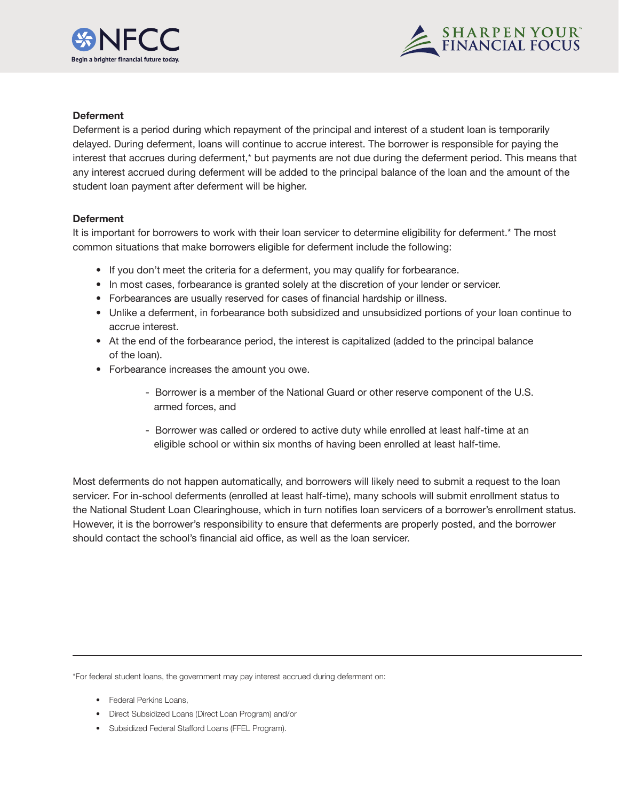



### **Deferment**

Deferment is a period during which repayment of the principal and interest of a student loan is temporarily delayed. During deferment, loans will continue to accrue interest. The borrower is responsible for paying the interest that accrues during deferment,\* but payments are not due during the deferment period. This means that any interest accrued during deferment will be added to the principal balance of the loan and the amount of the student loan payment after deferment will be higher.

#### **Deferment**

It is important for borrowers to work with their loan servicer to determine eligibility for deferment.\* The most common situations that make borrowers eligible for deferment include the following:

- If you don't meet the criteria for a deferment, you may qualify for forbearance.
- In most cases, forbearance is granted solely at the discretion of your lender or servicer.
- Forbearances are usually reserved for cases of financial hardship or illness.
- Unlike a deferment, in forbearance both subsidized and unsubsidized portions of your loan continue to accrue interest.
- At the end of the forbearance period, the interest is capitalized (added to the principal balance of the loan).
- Forbearance increases the amount you owe.
	- Borrower is a member of the National Guard or other reserve component of the U.S. armed forces, and
	- Borrower was called or ordered to active duty while enrolled at least half-time at an eligible school or within six months of having been enrolled at least half-time.

Most deferments do not happen automatically, and borrowers will likely need to submit a request to the loan servicer. For in-school deferments (enrolled at least half-time), many schools will submit enrollment status to the National Student Loan Clearinghouse, which in turn notifies loan servicers of a borrower's enrollment status. However, it is the borrower's responsibility to ensure that deferments are properly posted, and the borrower should contact the school's financial aid office, as well as the loan servicer.

\*For federal student loans, the government may pay interest accrued during deferment on:

- Federal Perkins Loans,
- Direct Subsidized Loans (Direct Loan Program) and/or
- Subsidized Federal Stafford Loans (FFEL Program).